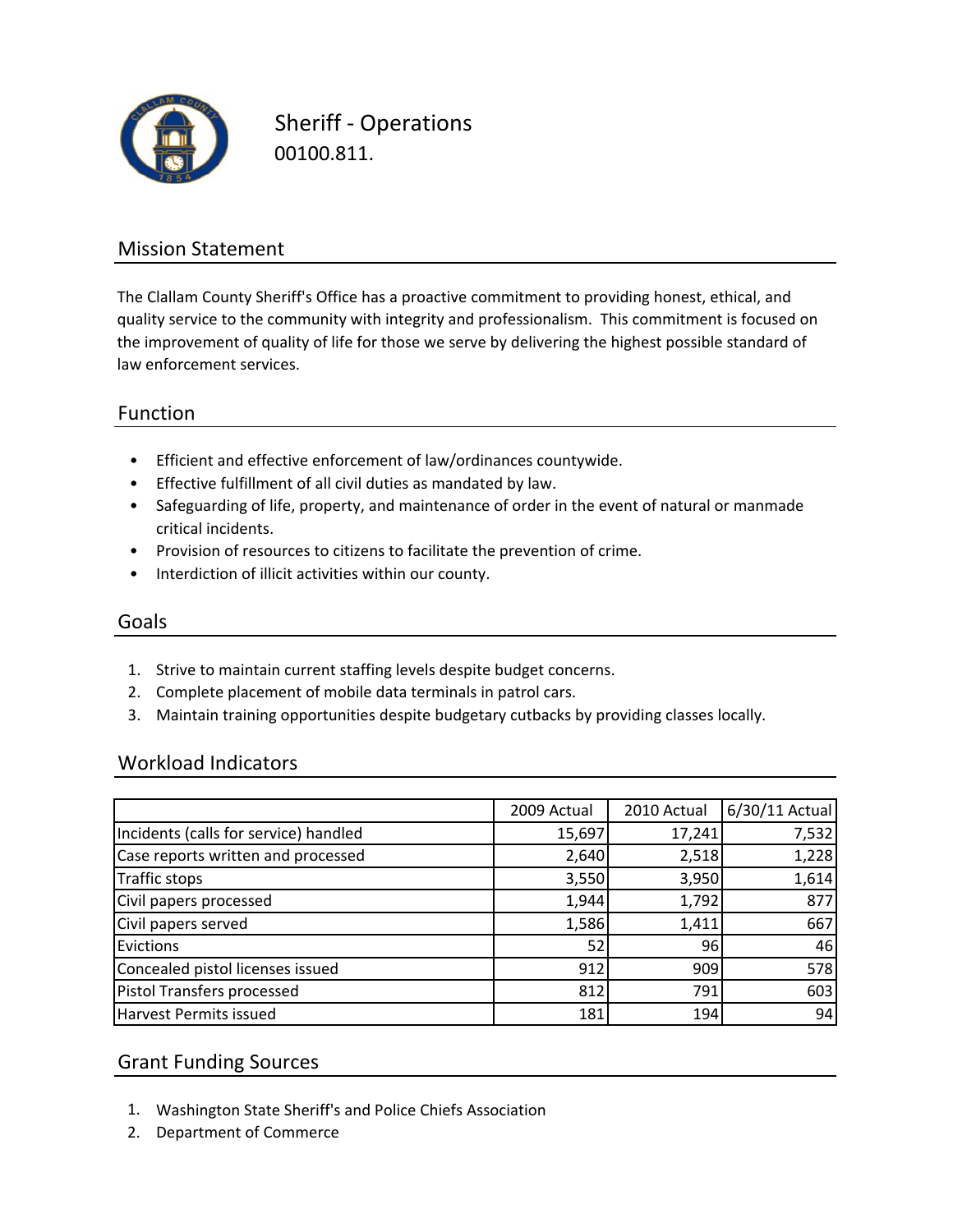

Sheriff ‐ Operations 00100.811.

### Mission Statement

The Clallam County Sheriff's Office has a proactive commitment to providing honest, ethical, and quality service to the community with integrity and professionalism. This commitment is focused on the improvement of quality of life for those we serve by delivering the highest possible standard of law enforcement services.

#### Function

- Efficient and effective enforcement of law/ordinances countywide.
- Effective fulfillment of all civil duties as mandated by law.
- Safeguarding of life, property, and maintenance of order in the event of natural or manmade critical incidents.
- Provision of resources to citizens to facilitate the prevention of crime.
- Interdiction of illicit activities within our county.

#### Goals

- 1. Strive to maintain current staffing levels despite budget concerns.
- 2. Complete placement of mobile data terminals in patrol cars.
- 3. Maintain training opportunities despite budgetary cutbacks by providing classes locally.

#### Workload Indicators

|                                       | 2009 Actual | 2010 Actual | 6/30/11 Actual |
|---------------------------------------|-------------|-------------|----------------|
| Incidents (calls for service) handled | 15,697      | 17,241      | 7,532          |
| Case reports written and processed    | 2,640       | 2,518       | 1,228          |
| Traffic stops                         | 3,550       | 3,950       | 1,614          |
| Civil papers processed                | 1,944       | 1,792       | 877            |
| Civil papers served                   | 1,586       | 1,411       | 667            |
| Evictions                             | 52          | 96          | 46             |
| Concealed pistol licenses issued      | 912         | 909         | 578            |
| Pistol Transfers processed            | 812         | 791         | 603            |
| Harvest Permits issued                | 181         | 194         | 94             |

#### Grant Funding Sources

- 1. Washington State Sheriff's and Police Chiefs Association
- 2. Department of Commerce